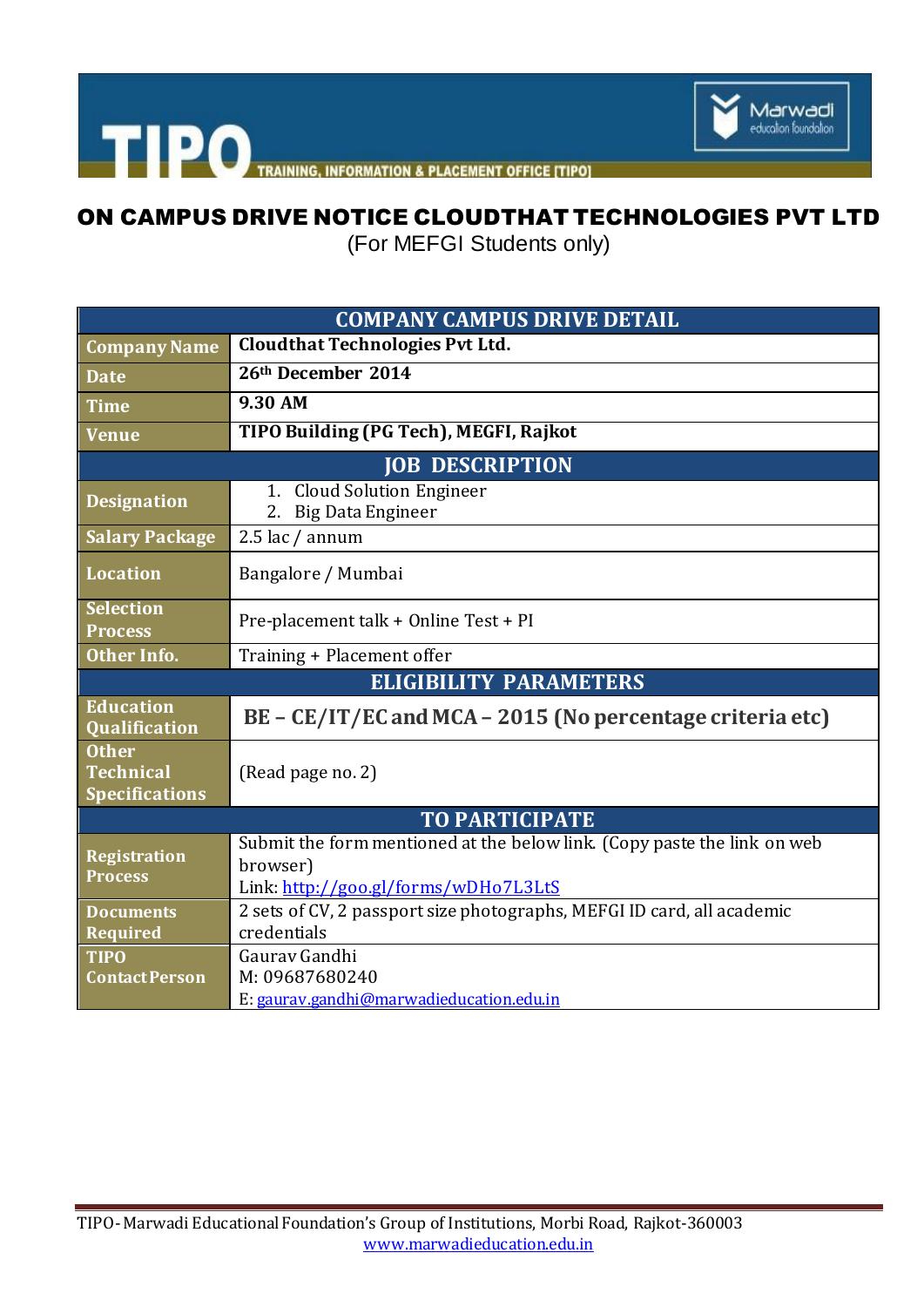

THE PO TRAINING, INFORMATION & PLACEMENT OFFICE [TIPO]

## ON CAMPUS DRIVE NOTICE CLOUDTHAT TECHNOLOGIES PVT LTD

(For MEFGI Students only)

| <b>COMPANY CAMPUS DRIVE DETAIL</b>                        |                                                                                                                              |
|-----------------------------------------------------------|------------------------------------------------------------------------------------------------------------------------------|
| <b>Company Name</b>                                       | <b>Cloudthat Technologies Pvt Ltd.</b>                                                                                       |
| <b>Date</b>                                               | 26th December 2014                                                                                                           |
| <b>Time</b>                                               | 9.30 AM                                                                                                                      |
| <b>Venue</b>                                              | TIPO Building (PG Tech), MEGFI, Rajkot                                                                                       |
| <b>JOB DESCRIPTION</b>                                    |                                                                                                                              |
| <b>Designation</b>                                        | <b>Cloud Solution Engineer</b><br>1.<br><b>Big Data Engineer</b><br>2.                                                       |
| <b>Salary Package</b>                                     | $2.5$ lac / annum                                                                                                            |
| <b>Location</b>                                           | Bangalore / Mumbai                                                                                                           |
| <b>Selection</b><br><b>Process</b>                        | Pre-placement talk + Online Test + PI                                                                                        |
| Other Info.                                               | Training + Placement offer                                                                                                   |
| <b>ELIGIBILITY PARAMETERS</b>                             |                                                                                                                              |
| <b>Education</b><br><b>Qualification</b>                  | BE - CE/IT/EC and MCA - 2015 (No percentage criteria etc)                                                                    |
| <b>Other</b><br><b>Technical</b><br><b>Specifications</b> | (Read page no. 2)                                                                                                            |
| <b>TO PARTICIPATE</b>                                     |                                                                                                                              |
| <b>Registration</b><br><b>Process</b>                     | Submit the form mentioned at the below link. (Copy paste the link on web<br>browser)<br>Link: http://goo.gl/forms/wDHo7L3LtS |
| <b>Documents</b><br><b>Required</b>                       | 2 sets of CV, 2 passport size photographs, MEFGI ID card, all academic<br>credentials                                        |
| <b>TIPO</b><br><b>Contact Person</b>                      | Gauray Gandhi<br>M: 09687680240<br>E: gaurav.gandhi@marwadieducation.edu.in                                                  |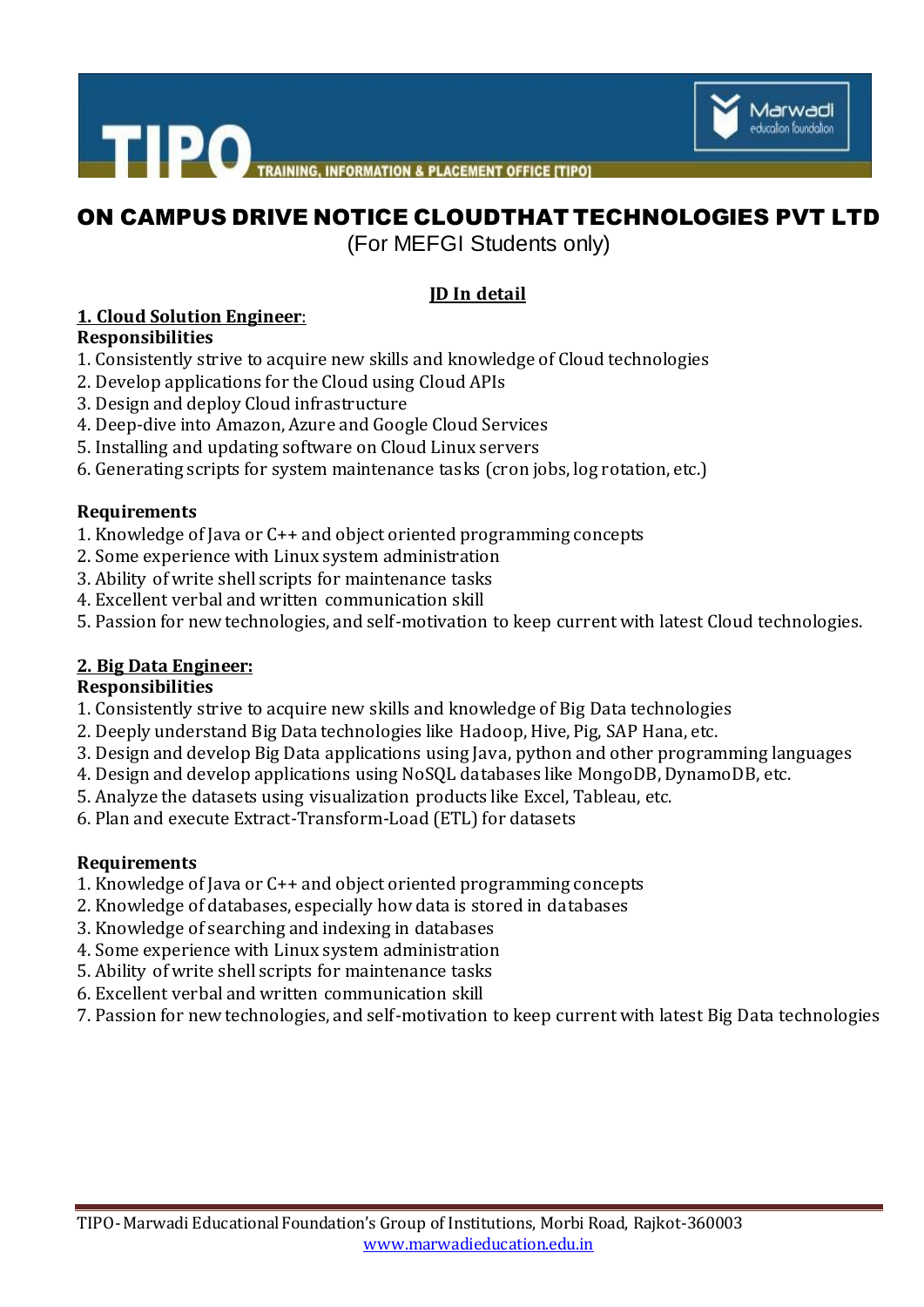



# ON CAMPUS DRIVE NOTICE CLOUDTHAT TECHNOLOGIES PVT LTD

(For MEFGI Students only)

#### **JD In detail**

#### **1. Cloud Solution Engineer**:

#### **Responsibilities**

- 1. Consistently strive to acquire new skills and knowledge of Cloud technologies
- 2. Develop applications for the Cloud using Cloud APIs
- 3. Design and deploy Cloud infrastructure
- 4. Deep-dive into Amazon, Azure and Google Cloud Services
- 5. Installing and updating software on Cloud Linux servers
- 6. Generating scripts for system maintenance tasks (cron jobs, log rotation, etc.)

#### **Requirements**

- 1. Knowledge of Java or C++ and object oriented programming concepts
- 2. Some experience with Linux system administration
- 3. Ability of write shell scripts for maintenance tasks
- 4. Excellent verbal and written communication skill
- 5. Passion for new technologies, and self-motivation to keep current with latest Cloud technologies.

#### **2. Big Data Engineer:**

#### **Responsibilities**

- 1. Consistently strive to acquire new skills and knowledge of Big Data technologies
- 2. Deeply understand Big Data technologies like Hadoop, Hive, Pig, SAP Hana, etc.
- 3. Design and develop Big Data applications using Java, python and other programming languages
- 4. Design and develop applications using NoSQL databases like MongoDB, DynamoDB, etc.
- 5. Analyze the datasets using visualization products like Excel, Tableau, etc.
- 6. Plan and execute Extract-Transform-Load (ETL) for datasets

#### **Requirements**

- 1. Knowledge of Java or C++ and object oriented programming concepts
- 2. Knowledge of databases, especially how data is stored in databases
- 3. Knowledge of searching and indexing in databases
- 4. Some experience with Linux system administration
- 5. Ability of write shell scripts for maintenance tasks
- 6. Excellent verbal and written communication skill
- 7. Passion for new technologies, and self-motivation to keep current with latest Big Data technologies